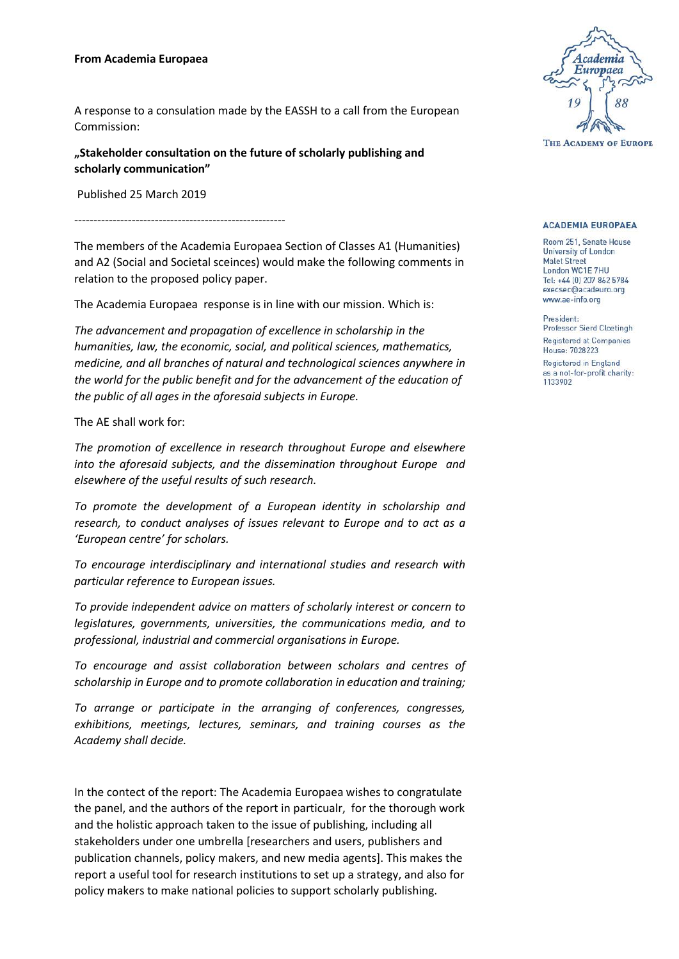## **From Academia Europaea**

A response to a consulation made by the EASSH to a call from the European Commission:

**"Stakeholder consultation on the future of scholarly publishing and scholarly communication"**

Published 25 March 2019

-------------------------------------------------------

The members of the Academia Europaea Section of Classes A1 (Humanities) and A2 (Social and Societal sceinces) would make the following comments in relation to the proposed policy paper.

The Academia Europaea response is in line with our mission. Which is:

*The advancement and propagation of excellence in scholarship in the humanities, law, the economic, social, and political sciences, mathematics, medicine, and all branches of natural and technological sciences anywhere in the world for the public benefit and for the advancement of the education of the public of all ages in the aforesaid subjects in Europe.*

The AE shall work for:

*The promotion of excellence in research throughout Europe and elsewhere into the aforesaid subjects, and the dissemination throughout Europe and elsewhere of the useful results of such research.*

*To promote the development of a European identity in scholarship and research, to conduct analyses of issues relevant to Europe and to act as a 'European centre' for scholars.*

*To encourage interdisciplinary and international studies and research with particular reference to European issues.*

*To provide independent advice on matters of scholarly interest or concern to legislatures, governments, universities, the communications media, and to professional, industrial and commercial organisations in Europe.*

*To encourage and assist collaboration between scholars and centres of scholarship in Europe and to promote collaboration in education and training;*

*To arrange or participate in the arranging of conferences, congresses, exhibitions, meetings, lectures, seminars, and training courses as the Academy shall decide.*

In the contect of the report: The Academia Europaea wishes to congratulate the panel, and the authors of the report in particualr, for the thorough work and the holistic approach taken to the issue of publishing, including all stakeholders under one umbrella [researchers and users, publishers and publication channels, policy makers, and new media agents]. This makes the report a useful tool for research institutions to set up a strategy, and also for policy makers to make national policies to support scholarly publishing.



## **ACADEMIA EUROPAEA**

Room 251, Senate House University of London **Malet Street** London WC1E 7HU Tel: +44 (0) 207 862 5784 execsec@acadeuro.org www.ae-info.org

President: Professor Sierd Cloetingh Registered at Companies House: 7028223 Registered in England as a not-for-profit charity: 1133902